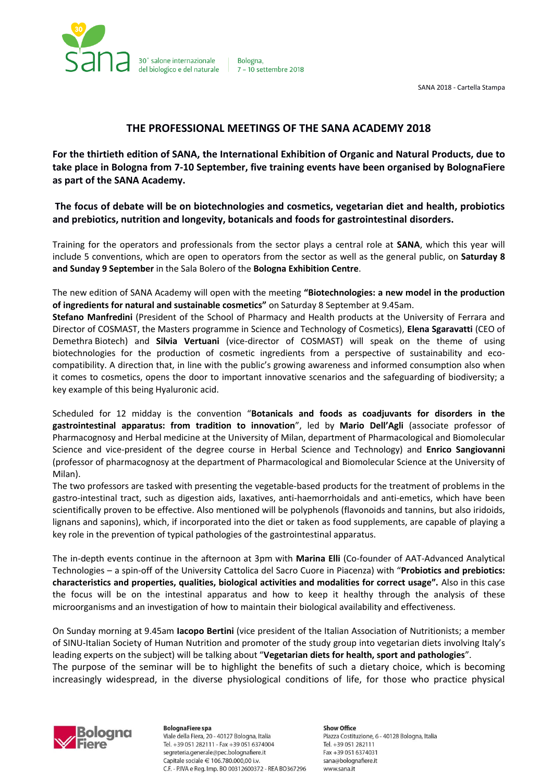

Bologna. 7 - 10 settembre 2018

SANA 2018 - Cartella Stampa

# **THE PROFESSIONAL MEETINGS OF THE SANA ACADEMY 2018**

**For the thirtieth edition of SANA, the International Exhibition of Organic and Natural Products, due to take place in Bologna from 7-10 September, five training events have been organised by BolognaFiere as part of the SANA Academy.**

**The focus of debate will be on biotechnologies and cosmetics, vegetarian diet and health, probiotics and prebiotics, nutrition and longevity, botanicals and foods for gastrointestinal disorders.**

Training for the operators and professionals from the sector plays a central role at **SANA**, which this year will include 5 conventions, which are open to operators from the sector as well as the general public, on **Saturday 8 and Sunday 9 September** in the Sala Bolero of the **Bologna Exhibition Centre**.

The new edition of SANA Academy will open with the meeting **"Biotechnologies: a new model in the production of ingredients for natural and sustainable cosmetics"** on Saturday 8 September at 9.45am.

**Stefano Manfredini** (President of the School of Pharmacy and Health products at the University of Ferrara and Director of COSMAST, the Masters programme in Science and Technology of Cosmetics), **Elena Sgaravatti** (CEO of Demethra Biotech) and **Silvia Vertuani** (vice-director of COSMAST) will speak on the theme of using biotechnologies for the production of cosmetic ingredients from a perspective of sustainability and ecocompatibility. A direction that, in line with the public's growing awareness and informed consumption also when it comes to cosmetics, opens the door to important innovative scenarios and the safeguarding of biodiversity; a key example of this being Hyaluronic acid.

Scheduled for 12 midday is the convention "**Botanicals and foods as coadjuvants for disorders in the gastrointestinal apparatus: from tradition to innovation**", led by **Mario Dell'Agli** (associate professor of Pharmacognosy and Herbal medicine at the University of Milan, department of Pharmacological and Biomolecular Science and vice-president of the degree course in Herbal Science and Technology) and **Enrico Sangiovanni** (professor of pharmacognosy at the department of Pharmacological and Biomolecular Science at the University of Milan).

The two professors are tasked with presenting the vegetable-based products for the treatment of problems in the gastro-intestinal tract, such as digestion aids, laxatives, anti-haemorrhoidals and anti-emetics, which have been scientifically proven to be effective. Also mentioned will be polyphenols (flavonoids and tannins, but also iridoids, lignans and saponins), which, if incorporated into the diet or taken as food supplements, are capable of playing a key role in the prevention of typical pathologies of the gastrointestinal apparatus.

The in-depth events continue in the afternoon at 3pm with **Marina Elli** (Co-founder of AAT-Advanced Analytical Technologies – a spin-off of the University Cattolica del Sacro Cuore in Piacenza) with "**Probiotics and prebiotics: characteristics and properties, qualities, biological activities and modalities for correct usage".** Also in this case the focus will be on the intestinal apparatus and how to keep it healthy through the analysis of these microorganisms and an investigation of how to maintain their biological availability and effectiveness.

On Sunday morning at 9.45am **Iacopo Bertini** (vice president of the Italian Association of Nutritionists; a member of SINU-Italian Society of Human Nutrition and promoter of the study group into vegetarian diets involving Italy's leading experts on the subject) will be talking about "**Vegetarian diets for health, sport and pathologies**". The purpose of the seminar will be to highlight the benefits of such a dietary choice, which is becoming increasingly widespread, in the diverse physiological conditions of life, for those who practice physical



**BolognaFiere spa** Viale della Fiera, 20 - 40127 Bologna, Italia Tel. +39 051 282111 - Fax +39 051 6374004 segreteria.generale@pec.bolognafiere.it Capitale sociale € 106.780.000,00 i.v. C.F. - P.IVA e Reg. Imp. BO 00312600372 - REA BO367296

**Show Office** Piazza Costituzione, 6 - 40128 Bologna, Italia Tel. +39 051 282111 Fax +39 051 6374031 sana@bolognafiere.it www.sana.it